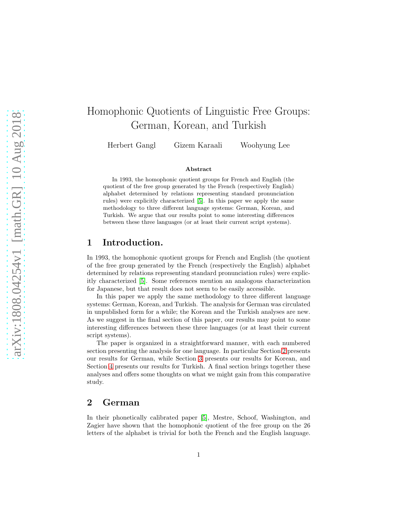# Homophonic Quotients of Linguistic Free Groups: German, Korean, and Turkish

Herbert Gangl Gizem Karaali Woohyung Lee

#### Abstract

In 1993, the homophonic quotient groups for French and English (the quotient of the free group generated by the French (respectively English) alphabet determined by relations representing standard pronunciation rules) were explicitly characterized [\[5\]](#page-11-0). In this paper we apply the same methodology to three different language systems: German, Korean, and Turkish. We argue that our results point to some interesting differences between these three languages (or at least their current script systems).

# 1 Introduction.

In 1993, the homophonic quotient groups for French and English (the quotient of the free group generated by the French (respectively the English) alphabet determined by relations representing standard pronunciation rules) were explicitly characterized [\[5\]](#page-11-0). Some references mention an analogous characterization for Japanese, but that result does not seem to be easily accessible.

In this paper we apply the same methodology to three different language systems: German, Korean, and Turkish. The analysis for German was circulated in unpublished form for a while; the Korean and the Turkish analyses are new. As we suggest in the final section of this paper, our results may point to some interesting differences between these three languages (or at least their current script systems).

The paper is organized in a straightforward manner, with each numbered section presenting the analysis for one language. In particular Section [2](#page-0-0) presents our results for German, while Section [3](#page-4-0) presents our results for Korean, and Section [4](#page-8-0) presents our results for Turkish. A final section brings together these analyses and offers some thoughts on what we might gain from this comparative study.

# <span id="page-0-0"></span>2 German

In their phonetically calibrated paper [\[5\]](#page-11-0), Mestre, Schoof, Washington, and Zagier have shown that the homophonic quotient of the free group on the 26 letters of the alphabet is trivial for both the French and the English language.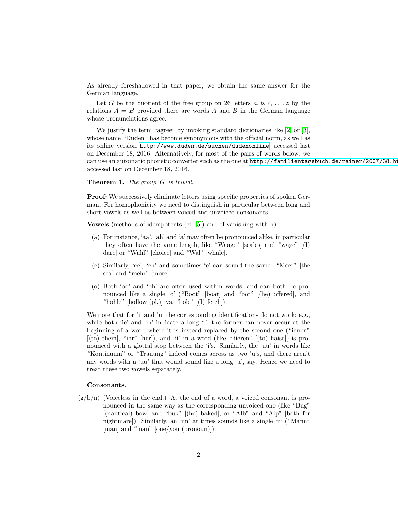As already foreshadowed in that paper, we obtain the same answer for the German language.

Let G be the quotient of the free group on 26 letters  $a, b, c, \ldots, z$  by the relations  $A = B$  provided there are words A and B in the German language whose pronunciations agree.

We justify the term "agree" by invoking standard dictionaries like [\[2\]](#page-10-0) or [\[3\]](#page-10-1), whose name "Duden" has become synonymous with the official norm, as well as its online version <http://www.duden.de/suchen/dudenonline>, accessed last on December 18, 2016. Alternatively, for most of the pairs of words below, we can use an automatic phonetic converter such as the one at http://familientagebuch.de/rainer/2007/38.html accessed last on December 18, 2016.

Theorem 1. *The group* G *is trivial.*

Proof: We successively eliminate letters using specific properties of spoken German. For homophonicity we need to distinguish in particular between long and short vowels as well as between voiced and unvoiced consonants.

Vowels (methods of idempotents (cf. [\[5\]](#page-11-0)) and of vanishing with h).

- (a) For instance, 'aa', 'ah' and 'a' may often be pronounced alike, in particular they often have the same length, like "Waage"  $[scales]$  and "wage"  $[(I)$ dare] or "Wahl" [choice] and "Wal" [whale].
- (e) Similarly, 'ee', 'eh' and sometimes 'e' can sound the same: "Meer" [the sea] and "mehr" [more].
- (o) Both 'oo' and 'oh' are often used within words, and can both be pronounced like a single 'o' ("Boot" [boat] and "bot" [(he) offered], and "hohle"  $[hollow (pl.)]$  vs. "hole"  $[1]$  fetch $]$ ).

We note that for 'i' and 'u' the corresponding identifications do not work; e.g., while both 'ie' and 'ih' indicate a long 'i', the former can never occur at the beginning of a word where it is instead replaced by the second one ("ihnen"  $[(to)$  them, "ihr" [her]), and 'ii' in a word (like "liieren"  $[(to)$  liaise]) is pronounced with a glottal stop between the 'i's. Similarly, the 'uu' in words like "Kontinuum" or "Trauung" indeed comes across as two 'u's, and there aren't any words with a 'uu' that would sound like a long 'u', say. Hence we need to treat these two vowels separately.

### Consonants.

 $(g/b/n)$  (Voiceless in the end.) At the end of a word, a voiced consonant is pronounced in the same way as the corresponding unvoiced one (like "Bug" [(nautical) bow] and "buk" [(he) baked], or "Alb" and "Alp" [both for nightmare]). Similarly, an 'nn' at times sounds like a single 'n' ("Mann" [man] and "man" [one/you (pronoun]]).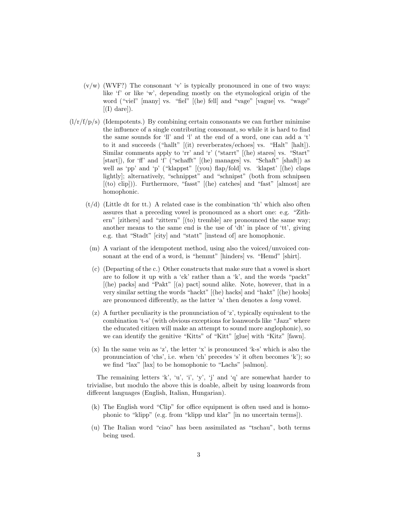- $(v/w)$  (WVF?) The consonant 'v' is typically pronounced in one of two ways: like 'f' or like 'w', depending mostly on the etymological origin of the word ("viel" [many] vs. "fiel" [(he) fell] and "vage" [vague] vs. "wage"  $[(I) \text{ dare}].$
- $(1/r/f/p/s)$  (Idempotents.) By combining certain consonants we can further minimise the influence of a single contributing consonant, so while it is hard to find the same sounds for 'll' and 'l' at the end of a word, one can add a 't' to it and succeeds ("hallt" [(it) reverberates/echoes] vs. "Halt" [halt]). Similar comments apply to 'rr' and 'r' ("starrt" [(he) stares] vs. "Start" [start]), for 'ff' and 'f' ("schafft" [(he) manages] vs. "Schaft" [shaft]) as well as 'pp' and 'p' ("klappst" [(you) flap/fold] vs. 'klapst' [(he) claps lightly]; alternatively, "schnippst" and "schnipst" (both from schnipsen  $[(to)$  clip])). Furthermore, "fasst"  $[(he)$  catches and "fast" [almost] are homophonic.
	- $(t/d)$  (Little dt for tt.) A related case is the combination 'th' which also often assures that a preceding vowel is pronounced as a short one: e.g. "Zithern" [zithers] and "zittern" [(to) tremble] are pronounced the same way; another means to the same end is the use of 'dt' in place of 'tt', giving e.g. that "Stadt" [city] and "statt" [instead of] are homophonic.
	- (m) A variant of the idempotent method, using also the voiced/unvoiced consonant at the end of a word, is "hemmt" [hinders] vs. "Hemd" [shirt].
	- (c) (Departing of the c.) Other constructs that make sure that a vowel is short are to follow it up with a 'ck' rather than a 'k', and the words "packt" [(he) packs] and "Pakt" [(a) pact] sound alike. Note, however, that in a very similar setting the words "hackt" [(he) hacks] and "hakt" [(he) hooks] are pronounced differently, as the latter 'a' then denotes a *long* vowel.
	- (z) A further peculiarity is the pronunciation of 'z', typically equivalent to the combination 't-s' (with obvious exceptions for loanwords like "Jazz" where the educated citizen will make an attempt to sound more anglophonic), so we can identify the genitive "Kitts" of "Kitt" [glue] with "Kitz" [fawn].
	- (x) In the same vein as 'z', the letter 'x' is pronounced 'k-s' which is also the pronunciation of 'chs', i.e. when 'ch' precedes 's' it often becomes 'k'); so we find "lax" [lax] to be homophonic to "Lachs" [salmon].

The remaining letters  $k'$ ,  $u'$ ,  $i'$ ,  $y'$ ,  $j'$  and  $q'$  are somewhat harder to trivialise, but modulo the above this is doable, albeit by using loanwords from different languages (English, Italian, Hungarian).

- (k) The English word "Clip" for office equipment is often used and is homophonic to "klipp" (e.g. from "klipp und klar" [in no uncertain terms]).
- (u) The Italian word "ciao" has been assimilated as "tschau", both terms being used.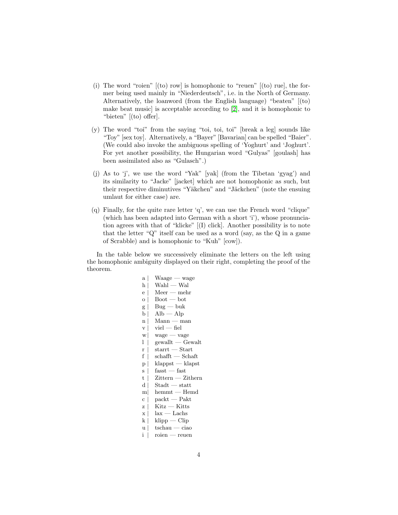- (i) The word "roien" [(to) row] is homophonic to "reuen" [(to) rue], the former being used mainly in "Niederdeutsch", i.e. in the North of Germany. Alternatively, the loanword (from the English language) "beaten" [(to) make beat music] is acceptable according to [\[2\]](#page-10-0), and it is homophonic to "bieten" [(to) offer].
- (y) The word "toi" from the saying "toi, toi, toi" [break a leg] sounds like "Toy" [sex toy]. Alternatively, a "Bayer" [Bavarian] can be spelled "Baier". (We could also invoke the ambiguous spelling of 'Yoghurt' and 'Joghurt'. For yet another possibility, the Hungarian word "Gulyas" [goulash] has been assimilated also as "Gulasch".)
- (j) As to 'j', we use the word "Yak" [yak] (from the Tibetan 'gyag') and its similarity to "Jacke" [jacket] which are not homophonic as such, but their respective diminutives "Yäkchen" and "Jäckchen" (note the ensuing umlaut for either case) are.
- (q) Finally, for the quite rare letter 'q', we can use the French word "clique" (which has been adapted into German with a short 'i'), whose pronunciation agrees with that of "klicke" [(I) click]. Another possibility is to note that the letter "Q" itself can be used as a word (say, as the Q in a game of Scrabble) and is homophonic to "Kuh" [cow]).

In the table below we successively eliminate the letters on the left using the homophonic ambiguity displayed on their right, completing the proof of the theorem.

> a | Waage — wage h | Wahl — Wal e | Meer — mehr o | Boot — bot  $g \mid$  Bug — buk  $b$  | Alb — Alp n | Mann — man  $v$  | viel — fiel w| wage — vage l | gewallt — Gewalt r | starrt — Start f | schafft — Schaft p | klappst — klapst s | fasst — fast t | Zittern — Zithern d | Stadt — statt m| hemmt — Hemd c | packt — Pakt  $z \mid$  Kitz — Kitts  $x \perp \text{lax} \perp \text{Lachs}$  $k$  | klipp — Clip u | tschau — ciao i | roien — reuen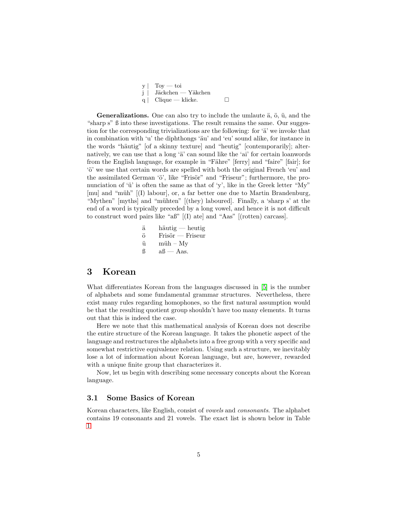| $y \mid \text{Toy} - \text{toi}$ |  |
|----------------------------------|--|
| $j \mid$ Jäckchen – Yäkchen      |  |
| $q$   Clique — klicke.           |  |

**Generalizations.** One can also try to include the umlaute  $\ddot{a}$ ,  $\ddot{o}$ ,  $\ddot{u}$ , and the "sharp s"  $\beta$  into these investigations. The result remains the same. Our suggestion for the corresponding trivializations are the following: for 'a' we invoke that in combination with 'u' the diphthongs 'au' and 'eu' sound alike, for instance in the words "häutig" [of a skinny texture] and "heutig" [contemporarily]; alternatively, we can use that a long 'a' can sound like the 'ai' for certain loanwords from the English language, for example in "Fähre" [ferry] and "faire" [fair]; for ""'''' we use that certain words are spelled with both the original French 'eu' and the assimilated German 'ö', like "Frisör" and "Friseur"; furthermore, the pronunciation of 'ü' is often the same as that of 'y', like in the Greek letter "My"  $[mu]$  and "müh"  $[(I)$  labour, or, a far better one due to Martin Brandenburg, "Mythen"  $[myths]$  and "mühten"  $[(they)$  laboured. Finally, a 'sharp s' at the end of a word is typically preceded by a long vowel, and hence it is not difficult to construct word pairs like "aß" [(I) ate] and "Aas" [(rotten) carcass].

> $\ddot{a}$  häutig — heutig  $ö$  Fris $\ddot{o}$  – Friseur  $ü \qquad \text{müh} - My$  $\beta$  a $\beta$  — Aas.

# <span id="page-4-0"></span>3 Korean

What differentiates Korean from the languages discussed in [\[5\]](#page-11-0) is the number of alphabets and some fundamental grammar structures. Nevertheless, there exist many rules regarding homophones, so the first natural assumption would be that the resulting quotient group shouldn't have too many elements. It turns out that this is indeed the case.

Here we note that this mathematical analysis of Korean does not describe the entire structure of the Korean language. It takes the phonetic aspect of the language and restructures the alphabets into a free group with a very specific and somewhat restrictive equivalence relation. Using such a structure, we inevitably lose a lot of information about Korean language, but are, however, rewarded with a unique finite group that characterizes it.

Now, let us begin with describing some necessary concepts about the Korean language.

### 3.1 Some Basics of Korean

Korean characters, like English, consist of *vowels* and *consonants*. The alphabet contains 19 consonants and 21 vowels. The exact list is shown below in Table [1.](#page-5-0)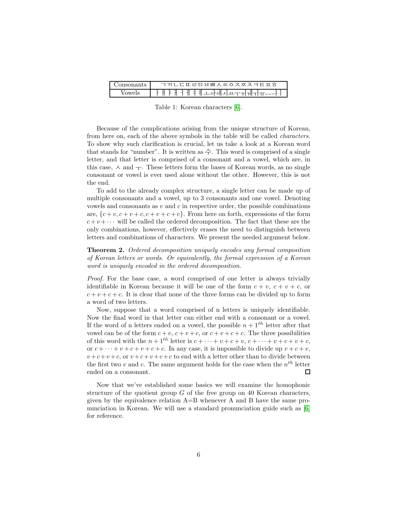| L Consonants  | ヿヿしにエ己ロ日明入从○ススえヨEI〒 |
|---------------|---------------------|
| <b>Vowels</b> |                     |

<span id="page-5-0"></span>Table 1: Korean characters [\[6\]](#page-11-1).

Because of the complications arising from the unique structure of Korean, from here on, each of the above symbols in the table will be called *characters*. To show why such clarification is crucial, let us take a look at a Korean word that stands for "number". It is written as  $\hat{\div}$ . This word is comprised of a single letter, and that letter is comprised of a consonant and a vowel, which are, in this case,  $\lambda$  and  $\tau$ . These letters form the bases of Korean words, as no single consonant or vowel is ever used alone without the other. However, this is not the end.

To add to the already complex structure, a single letter can be made up of multiple consonants and a vowel, up to 3 consonants and one vowel. Denoting vowels and consonants as  $v$  and  $c$  in respective order, the possible combinations are,  $\{c + v, c + v + c, c + v + c + c\}$ . From here on forth, expressions of the form  $c + v + \cdots$  will be called the ordered decomposition. The fact that these are the only combinations, however, effectively erases the need to distinguish between letters and combinations of characters. We present the needed argument below.

Theorem 2. *Ordered decomposition uniquely encodes any formal composition of Korean letters or words. Or equivalently, the formal expression of a Korean word is uniquely encoded in the ordered decomposition.*

*Proof.* For the base case, a word comprised of one letter is always trivially identifiable in Korean because it will be one of the form  $c + v$ ,  $c + v + c$ , or  $c + v + c + c$ . It is clear that none of the three forms can be divided up to form a word of two letters.

Now, suppose that a word comprised of n letters is uniquely identifiable. Now the final word in that letter can either end with a consonant or a vowel. If the word of n letters ended on a vowel, the possible  $n + 1<sup>th</sup>$  letter after that vowel can be of the form  $c + v$ ,  $c + v + c$ , or  $c + v + c + c$ . The three possibilities of this word with the  $n+1^{th}$  letter is  $c+\cdots+v+c+v$ ,  $c+\cdots+v+c+v+c$ . or  $c + \cdots + v + c + v + c + c$ . In any case, it is impossible to divide up  $v + c + v$ ,  $v+c+v+c$ , or  $v+c+v+c+c$  to end with a letter other than to divide between the first two v and c. The same argument holds for the case when the  $n^{th}$  letter ended on a consonant. 口

Now that we've established some basics we will examine the homophonic structure of the quotient group  $G$  of the free group on 40 Korean characters, given by the equivalence relation  $A=B$  whenever A and B have the same pronunciation in Korean. We will use a standard pronunciation guide such as [\[6\]](#page-11-1) for reference.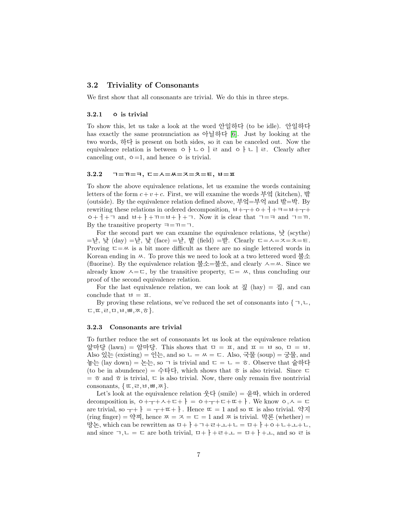### 3.2 Triviality of Consonants

We first show that all consonants are trivial. We do this in three steps.

#### $3.2.1$   $\circ$  is trivial

To show this, let us take a look at the word 안일하다 (to be idle). 안일하다 has exactly the same pronunciation as 아닐하다 [\[6\]](#page-11-1). Just by looking at the two words, 하다 is present on both sides, so it can be canceled out. Now the equivalence relation is between  $\circ \vdash \circ \circ \vdash \circ$  and  $\circ \vdash \vdash \vdash \vdash \circ$ . Clearly after canceling out,  $\circ$  =1, and hence  $\circ$  is trivial.

#### 3.2.2 ㄱ=ㄲ=ㅋ, ㄷ=ㅅ=ㅆ=ㅈ=ㅊ=ㅌ, ㅂ=ㅍ

To show the above equivalence relations, let us examine the words containing letters of the form  $c + v + c$ . First, we will examine the words 부엌 (kitchen), 밖 (outside). By the equivalence relation defined above, 부엌=부억 and 밖=박. By rewriting these relations in ordered decomposition,  $\forall$ +++ $\land$ + $\exists$ + $\forall$ + $\exists$ = $\forall$ + $\rightarrow$ + $\uparrow$  $0+\frac{1}{7}+\cdots$  and  $\mu+\frac{1}{7}+\cdots$  and  $\mu+\frac{1}{7}+\cdots$  Now it is clear that  $\nu=\nu$  and  $\nu=\nu$ . By the transitive property  $\exists = \exists = \neg$ .

For the second part we can examine the equivalence relations,  $\forall$  (scythe) =낟, 낮 (day) =낟, 낯 (face) =낟, 밭 (field) =받. Clearly ㄷ=ㅅ=ㅈ=ㅊ=ㅌ. Proving  $\Box = \mathcal{R}$  is a bit more difficult as there are no single lettered words in Korean ending in  $\mathcal{R}$ . To prove this we need to look at a two lettered word  $\frac{1}{2}\Delta$ (fluorine). By the equivalence relation  $\frac{1}{2}\hat{\mathcal{L}}=\frac{1}{2}\hat{\mathcal{L}}$ , and clearly  $\lambda = \lambda$ . Since we already know  $\lambda = \square$ , by the transitive property,  $\square = \lambda$ , thus concluding our proof of the second equivalence relation.

For the last equivalence relation, we can look at  $\vec{A}$  (hay) =  $\vec{A}$ , and can conclude that  $\mathbf{H} = \mathbf{\bar{x}}$ .

By proving these relations, we've reduced the set of consonants into  $\{\top, \bot, \bot, \bot\}$ ㄷ,ㄸ,ㄹ,ㅁ,ㅂ,ㅃ,ㅉ,ㅎ}.

#### 3.2.3 Consonants are trivial

To further reduce the set of consonants let us look at the equivalence relation 앞마당 (lawn) = 암마당. This shows that  $\Box = \Box$ , and  $\Box = \Box$  so,  $\Box = \Box$ . Also 있는 (existing) = 인는, and so  $\mathsf{L} = \mathsf{M} = \mathsf{C}$ . Also, 국물 (soup) = 궁물, and 놓는 (lay down) = 논는, so ㄱ is trivial and ㄷ = ㄴ = ㅎ. Observe that 숱하다 (to be in abundence) = 수타다, which shows that  $\bar{\sigma}$  is also trivial. Since  $\Box$  $=$   $\bar{\sigma}$  and  $\bar{\sigma}$  is trivial,  $\bar{\sigma}$  is also trivial. Now, there only remain five nontrivial consonants,  $\{\pi, \Xi, \Xi, \mathbb{H}, \mathbb{R}, \mathbb{Z}\}.$ 

Let's look at the equivalence relation  $\frac{1}{2}F$  (smile) = 욷따, which in ordered decomposition is,  $\circ + \uparrow + \downarrow + \uparrow = \circ + \uparrow + \uparrow + \uparrow + \uparrow$ . We know  $\circ \circ \star = \uparrow$ are trivial, so  $\tau + \} = \tau + \pi + \}$ . Hence  $\pi = 1$  and so  $\pi$  is also trivial. 약지 (ring finger) = 약찌, hence  $m = \infty = \infty = 1$  and  $m = \infty$  is trivial. 막론 (whether) = 망논, which can be rewritten as ㅁ+ㅏ+ㄱ+ㄹ+ㅗ+ㄴ = ㅁ+ㅏ+ㅇ+ㄴ+ㅗ+ㄴ, and since  $\neg L = \square$  are both trivial,  $\neg L + \square + \square + \square = \square + \square + \square$ , and so  $\square$  is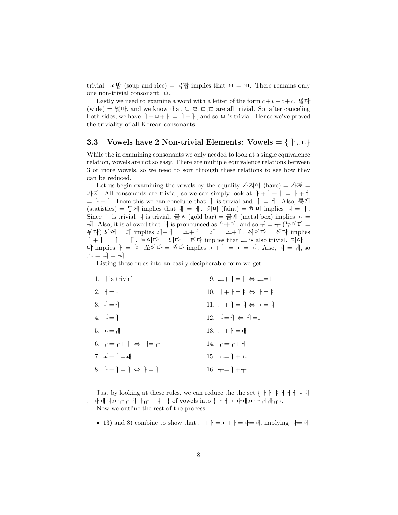trivial. 국밥 (soup and rice) = 국빱 implies that ㅂ = ㅃ. There remains only one non-trivial consonant, ㅂ.

Lastly we need to examine a word with a letter of the form  $c+v+c+c$ .  $\Box \Box \Box \Box$ (wide) = 널따, and we know that  $\mathsf{L}, \mathsf{E}, \mathsf{E}, \mathsf{E}$  are all trivial. So, after canceling both sides, we have  $\dagger + \mathbf{a} + \mathbf{b} = \dagger + \mathbf{b}$ , and so  $\mathbf{a}$  is trivial. Hence we've proved the triviality of all Korean consonants.

### 3.3 Vowels have 2 Non-trivial Elements: Vowels  $= \{ \, \} , \perp \}$

While the in examining consonants we only needed to look at a single equivalence relation, vowels are not so easy. There are multiple equivalence relations between 3 or more vowels, so we need to sort through these relations to see how they can be reduced.

Let us begin examining the vowels by the equality 가지어 (have) = 가져 = 가저. All consonants are trivial, so we can simply look at  $\dagger + \dagger + \dagger = \dagger + \dagger$ = ㅏ+ㅓ. From this we can conclude that ㅣ is trivial and ㅓ = ㅕ. Also, 통계 (statistics) = 통계 implies that  $\P = \mathcal{A}$ . 희미 (faint) = 히미 implies  $-\mathcal{A} = \mathcal{A}$ . Since | is trivial  $-$  is trivial. 금괴 (gold bar) = 금궤 (metal box) implies  $\perp$  = ㅞ. Also, it is allowed that 위 is pronounced as 우+이, and so ㅟ = ㅜ.(누이다 = 뉘다) 되어 = 돼 implies ㅚ+ㅓ = ㅗ+ㅓ = ㅙ = ㅗ+ㅐ. 싸이다 = 쌔다 implies ㅏ+ㅣ = ㅏ = ㅐ. 트이다 = 틔다 = 티다 implies that ㅡ is also trivial. 미아 = 먀 implies ㅏ = ㅑ. 쏘이다 = 쐬다 implies ㅗ+ㅣ = ㅗ = ㅚ. Also, ㅚ = ㅞ, so  $\perp = \perp$  =  $\parallel$ .

Listing these rules into an easily decipherable form we get:

| 1. $\vert$ is trivial                                              | $9. -+ =$ $\Rightarrow$ $- =1$                            |
|--------------------------------------------------------------------|-----------------------------------------------------------|
| 2. $\frac{1}{2} = \frac{1}{2}$                                     | 10. $ +  = \} \Leftrightarrow   = \}$                     |
| 3. $=$ $=$ $\frac{1}{1}$                                           | 11. $\perp +$ = $\perp \Leftrightarrow$ $\perp =$ $\perp$ |
| 4. $-1=$ ]                                                         | 12. $-= \Rightarrow$ $\parallel$ $=1$                     |
| $5. \ \pm = -1$                                                    | 13. $\perp + \parallel = \perp \parallel$                 |
| 6. $\tau$ = $\tau$ + $\vdash \Leftrightarrow \tau$ = $\tau$        | 14. $\tau = \tau + \tau$                                  |
| 7. 나 $+$ $=$ 내                                                     | 15. $\mu =$ $+ \mu$                                       |
| 8. $\dagger + \dagger = \dagger \Leftrightarrow \dagger = \dagger$ | 16. $\pi =$ + $\tau$                                      |

Just by looking at these rules, we can reduce the the set  $\{\}\ \|\ \in \mathcal{H}\ \cap \mathcal{H}\ \neq \emptyset\}$ ㅗㅘㅙㅚㅛㅜㅝㅞㅟㅠㅡㅢㅣ} of vowels into {ㅏㅓㅗㅘㅙㅛㅜㅝㅞㅠ}. Now we outline the rest of the process:

• 13) and 8) combine to show that  $\bot + \Vert = \bot + \Vert = \bot + \Vert$ , implying  $\bot + \bot$ .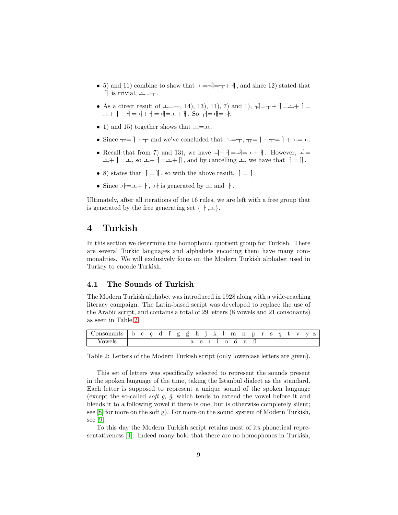- 5) and 11) combine to show that  $\bot = \bot + \bot$ , and since 12) stated that  $\parallel$  is trivial,  $\perp = \perp$ .
- As a direct result of  $\bot = \top$ , 14), 13), 11), 7) and 1),  $\exists = \top + \exists = \bot + \exists =$ ㅗ+ㅣ+ㅓ=ㅚ+ㅓ=ㅙ=ㅗ+ㅐ. So ㅝ=ㅙ=ㅘ.
- 1) and 15) together shows that  $\perp = \perp$ .
- Since  $\pi$  =  $+$  + and we've concluded that  $\pm$  =  $\pi$ ,  $\pi$  =  $+$  +  $\pi$  =  $+$  +  $\pm$  =  $\pm$ .
- Recall that from 7) and 13), we have  $\lambda + \lambda = \lambda + \lambda$ . However,  $\lambda =$  $\perp$  =  $\perp$ , so  $\perp$  +  $\parallel$  =  $\perp$  +  $\parallel$ , and by cancelling  $\perp$ , we have that  $\parallel$  =  $\parallel$ .
- 8) states that  $\dagger = \dagger$ , so with the above result,  $\dagger = \dagger$ .
- Since  $\perp = \perp + \, \cdot \, \perp$  is generated by  $\perp$  and  $\dagger$ .

Ultimately, after all iterations of the 16 rules, we are left with a free group that is generated by the free generating set {ㅏ,ㅗ}.

# <span id="page-8-0"></span>4 Turkish

In this section we determine the homophonic quotient group for Turkish. There are several Turkic languages and alphabets encoding them have many commonalities. We will exclusively focus on the Modern Turkish alphabet used in Turkey to encode Turkish.

### 4.1 The Sounds of Turkish

The Modern Turkish alphabet was introduced in 1928 along with a wide-reaching literacy campaign. The Latin-based script was developed to replace the use of the Arabic script, and contains a total of 29 letters (8 vowels and 21 consonants) as seen in Table [2:](#page-8-1)

|               | IJ | $\epsilon$<br>◡ | d | <b>.</b> | $\sigma$<br>$\overline{\phantom{0}}$ | $\sigma$<br>◓ | $\mathbf{n}$ | k | m     | n |                    | ້ |  |  |  |
|---------------|----|-----------------|---|----------|--------------------------------------|---------------|--------------|---|-------|---|--------------------|---|--|--|--|
| ′∪w<br><br>UЮ |    |                 |   |          |                                      |               |              |   | <br>∽ |   | $\cdot \cdot$<br>u |   |  |  |  |

<span id="page-8-1"></span>Table 2: Letters of the Modern Turkish script (only lowercase letters are given).

This set of letters was specifically selected to represent the sounds present in the spoken language of the time, taking the Istanbul dialect as the standard. Each letter is supposed to represent a unique sound of the spoken language (except the so-called *soft g*,  $\breve{g}$ , which tends to extend the vowel before it and blends it to a following vowel if there is one, but is otherwise completely silent; see [\[8\]](#page-11-2) for more on the soft g). For more on the sound system of Modern Turkish, see [\[9\]](#page-11-3).

To this day the Modern Turkish script retains most of its phonetical representativeness [\[4\]](#page-11-4). Indeed many hold that there are no homophones in Turkish;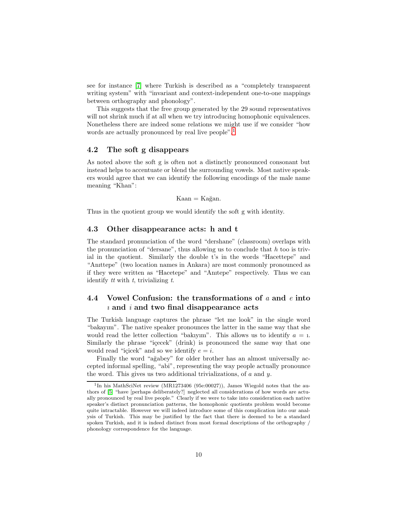see for instance [\[7\]](#page-11-5) where Turkish is described as a "completely transparent writing system" with "invariant and context-independent one-to-one mappings between orthography and phonology".

This suggests that the free group generated by the 29 sound representatives will not shrink much if at all when we try introducing homophonic equivalences. Nonetheless there are indeed some relations we might use if we consider "how words are actually pronounced by real live people".<sup>[1](#page-9-0)</sup>

### 4.2 The soft g disappears

As noted above the soft g is often not a distinctly pronounced consonant but instead helps to accentuate or blend the surrounding vowels. Most native speakers would agree that we can identify the following encodings of the male name meaning "Khan":

 $Kaan = Kağan$ .

Thus in the quotient group we would identify the soft g with identity.

### 4.3 Other disappearance acts: h and t

The standard pronunciation of the word "dershane" (classroom) overlaps with the pronunciation of "dersane", thus allowing us to conclude that  $h$  too is trivial in the quotient. Similarly the double t's in the words "Hacettepe" and "Anıttepe" (two location names in Ankara) are most commonly pronounced as if they were written as "Hacetepe" and "Anıtepe" respectively. Thus we can identify *tt* with *t*, trivializing *t*.

## 4.4 Vowel Confusion: the transformations of a and e into  $i$  and i and two final disappearance acts

The Turkish language captures the phrase "let me look" in the single word "bakayım". The native speaker pronounces the latter in the same way that she would read the letter collection "bakıyım". This allows us to identify  $a = 1$ . Similarly the phrase "içecek" (drink) is pronounced the same way that one would read "içicek" and so we identify  $e = i$ .

Finally the word "a˘gabey" for older brother has an almost universally accepted informal spelling, "abi", representing the way people actually pronounce the word. This gives us two additional trivializations, of a and y.

<span id="page-9-0"></span><sup>&</sup>lt;sup>1</sup>In his MathSciNet review (MR1273406 (95e:00027)), James Wiegold notes that the authors of [\[5\]](#page-11-0) "have [perhaps deliberately?] neglected all considerations of how words are actually pronounced by real live people." Clearly if we were to take into consideration each native speaker's distinct pronunciation patterns, the homophonic quotients problem would become quite intractable. However we will indeed introduce some of this complication into our analysis of Turkish. This may be justified by the fact that there is deemed to be a standard spoken Turkish, and it is indeed distinct from most formal descriptions of the orthography / phonology correspondence for the language.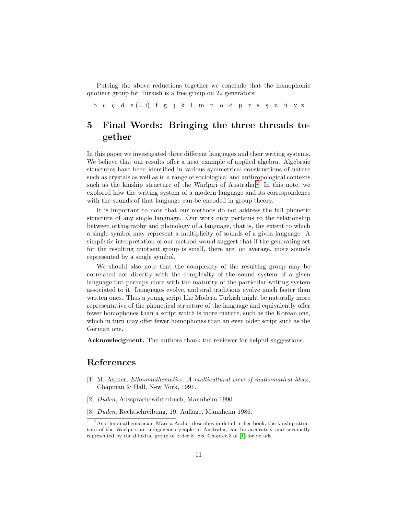Putting the above reductions together we conclude that the homophonic quotient group for Turkish is a free group on 22 generators:

 $b$  c  $c$  d  $e$  (= i) f  $g$  j  $k$  l  $m$   $n$  o  $\ddot{o}$   $p$   $r$   $s$   $s$   $u$   $\ddot{u}$   $v$   $z$ 

# 5 Final Words: Bringing the three threads together

In this paper we investigated three different languages and their writing systems. We believe that our results offer a neat example of applied algebra. Algebraic structures have been identified in various symmetrical constructions of nature such as crystals as well as in a range of sociological and anthropological contexts such as the kinship structure of the Warlpiri of Australia.<sup>[2](#page-10-2)</sup> In this note, we explored how the writing system of a modern language and its correspondence with the sounds of that language can be encoded in group theory.

It is important to note that our methods do not address the full phonetic structure of any single language. Our work only pertains to the relationship between orthography and phonology of a language, that is, the extent to which a single symbol may represent a multiplicity of sounds of a given language. A simplistic interpretation of our method would suggest that if the generating set for the resulting quotient group is small, there are, on average, more sounds represented by a single symbol.

We should also note that the complexity of the resulting group may be correlated not directly with the complexity of the sound system of a given language but perhaps more with the maturity of the particular writing system associated to it. Languages evolve, and oral traditions evolve much faster than written ones. Thus a young script like Modern Turkish might be naturally more representative of the phonetical structure of the language and equivalently offer fewer homophones than a script which is more mature, such as the Korean one, which in turn may offer fewer homophones than an even older script such as the German one.

Acknowledgment. The authors thank the reviewer for helpful suggestions.

# <span id="page-10-3"></span>References

- [1] M. Ascher, *Ethnomathematics: A multicultural view of mathematical ideas*, Chapman & Hall, New York, 1991.
- <span id="page-10-1"></span><span id="page-10-0"></span>[2] *Duden*, Aussprachewörterbuch, Mannheim 1990.
- [3] *Duden*, Rechtschreibung, 19. Auflage, Mannheim 1986.

<span id="page-10-2"></span><sup>2</sup>As ethnomathematician Marcia Ascher describes in detail in her book, the kinship structure of the Warlpiri, an indigeneous people in Australia, can be accurately and succinctly represented by the dihedral group of order 8. See Chapter 3 of [\[1\]](#page-10-3) for details.